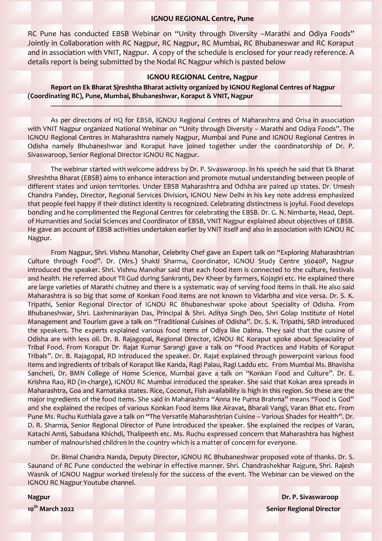### **IGNOU REGIONAL Centre, Pune**

RC Pune has conducted EBSB Webinar on "Unity through Diversity -Marathi and Odiya Foods" Jointly in Collaboration with RC Nagpur, RC Nagpur, RC Mumbai, RC Bhubaneswar and RC Koraput and in association with VNIT, Nagpur. A copy of the schedule is enclosed for your ready reference. A details report is being submitted by the Nodal RC Nagpur which is pasted below

#### **IGNOU REGIONAL Centre, Nagpur**

**--------------------------------------------------------------------------------------------------------------------------------------------------------------------**

**Report on Ek Bharat Sjreshtha Bharat activity organized by IGNOU Regional Centres of Nagpur (Coordinating RC), Pune, Mumbai, Bhubaneshwar, Koraput & VNIT, Nagpur**

As per directions of HQ for EBSB, IGNOU Regional Centres of Maharashtra and Orisa in association with VNIT Nagpur organized National Webinar on "Unity through Diversity – Marathi and Odiya Foods". The IGNOU Regional Centres in Maharashtra namely Nagpur, Mumbai and Pune and IGNOU Regional Centres in Odisha namely Bhubaneshwar and Koraput have joined together under the coordinatorship of Dr. P. Sivaswaroop, Senior Regional Director IGNOU RC Nagpur.

The webinar started with welcome address by Dr. P. Sivaswaroop. In his speech he said that Ek Bharat Shreshtha Bharat (EBSB) aims to enhance interaction and promote mutual understanding between people of different states and union territories. Under EBSB Maharashtra and Odisha are paired up states. Dr. Umesh Chandra Pandey, Director, Regional Services Division, IGNOU New Delhi in his key note address emphasized that people feel happy if their distinct identity is recognized. Celebrating distinctness is joyful. Food develops bonding and he complimented the Regional Centres for celebrating the EBSB. Dr. G. N. Nimbarte, Head, Dept. of Humanities and Social Sciences and Coordinator of EBSB, VNIT Nagpur explained about objectives of EBSB. He gave an account of EBSB activities undertaken earlier by VNIT itself and also in association with IGNOU RC Nagpur.

From Nagpur, Shri. Vishnu Manohar, Celebrity Chef gave an Expert talk on "Exploring Maharashtrian Culture through Food". Dr. (Mrs.) Shakti Sharma, Coordinator, IGNOU Study Centre 36040P, Nagpur introduced the speaker. Shri. Vishnu Manohar said that each food item is connected to the culture, festivals and health. He referred about Til Gud during Sankranti, Dev Kheer by farmers, Kojagiri etc. He explained there are large varieties of Marathi chutney and there is a systematic way of serving food items in thali. He also said Maharashtra is so big that some of Konkan Food items are not known to Vidarbha and vice versa. Dr. S. K. Tripathi, Senior Regional Director of IGNOU RC Bhubaneshwar spoke about Speciality of Odisha. From Bhubaneshwar, Shri. Laxhminarayan Das, Principal & Shri. Aditya Singh Deo, Shri Golap Institute of Hotel Management and Tourism gave a talk on "Traditional Cuisines of Odisha". Dr. S. K. Tripathi, SRD introduced the speakers. The experts explained various food items of Odiya like Dalma. They said that the cuisine of Odisha are with less oil. Dr. B. Rajagopal, Regional Director, IGNOU RC Koraput spoke about Speaciality of Tribal Food. From Koraput Dr. Rajat Kumar Sarangi gave a talk on "Food Practices and Habits of Koraput Tribals". Dr. B. Rajagopal, RD introduced the speaker. Dr. Rajat explained through powerpoint various food items and ingredients of tribals of Koraput like Kanda, Ragi Palau, Ragi Laddu etc. From Mumbai Ms. Bhavisha Sancheti, Dr. BMN College of Home Science, Mumbai gave a talk on "Konkan Food and Culture". Dr. E. Krishna Rao, RD (In-charge), IGNOU RC Mumbai introduced the speaker. She said that Kokan area spreads in Maharashtra, Goa and Karnataka states. Rice, Coconut, Fish availability is high in this region. So these are the major ingredients of the food items. She said in Maharashtra "Anna He Purna Brahma" means "Food is God" and she explained the recipes of various Konkan Food items like Airavat, Bharali Vangi, Varan Bhat etc. From Pune Ms. Ruchu Kuthiala gave a talk on "The Versatile Maharashtrian Cuisine – Various Shades for Health". Dr. D. R. Sharma, Senior Regional Director of Pune introduced the speaker. She explained the recipes of Varan, Katachi Amti, Sabudana Khichdi, Thalipeeth etc. Ms. Ruchu expressed concern that Maharashtra has highest number of malnourished children in the country which is a matter of concern for everyone.

Dr. Bimal Chandra Nanda, Deputy Director, IGNOU RC Bhubaneshwar proposed vote of thanks. Dr. S. Saunand of RC Pune conducted the webinar in effective manner. Shri. Chandrashekhar Rajgure, Shri. Rajesh Wasnik of IGNOU Nagpur worked tirelessly for the success of the event. The Webinar can be viewed on the IGNOU RC Nagpur Youtube channel.

**Nagpur Dr. P. Sivaswaroop 10th March 2022 Senior Regional Director**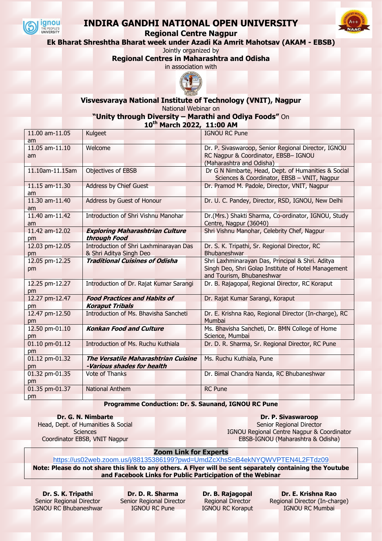

## **INDIRA GANDHI NATIONAL OPEN UNIVERSITY**



**Ek Bharat Shreshtha Bharat week under Azadi Ka Amrit Mahotsav (AKAM - EBSB)**

Jointly organized by

**Regional Centres in Maharashtra and Odisha**

in association with



**Visvesvaraya National Institute of Technology (VNIT), Nagpur** National Webinar on

**"Unity through Diversity – Marathi and Odiya Foods"** On

**10th March 2022, 11:00 AM**

| 11.00 am-11.05             | Kulgeet                                                                  | <b>IGNOU RC Pune</b>                                                                                                                 |
|----------------------------|--------------------------------------------------------------------------|--------------------------------------------------------------------------------------------------------------------------------------|
| am<br>11.05 am-11.10<br>am | Welcome                                                                  | Dr. P. Sivaswaroop, Senior Regional Director, IGNOU<br>RC Nagpur & Coordinator, EBSB- IGNOU<br>(Maharashtra and Odisha)              |
| 11.10am-11.15am            | <b>Objectives of EBSB</b>                                                | Dr G N Nimbarte, Head, Dept. of Humanities & Social<br>Sciences & Coordinator, EBSB - VNIT, Nagpur                                   |
| 11.15 am-11.30<br>am       | <b>Address by Chief Guest</b>                                            | Dr. Pramod M. Padole, Director, VNIT, Nagpur                                                                                         |
| 11.30 am-11.40<br>am       | Address by Guest of Honour                                               | Dr. U. C. Pandey, Director, RSD, IGNOU, New Delhi                                                                                    |
| 11.40 am-11.42<br>am       | Introduction of Shri Vishnu Manohar                                      | Dr.(Mrs.) Shakti Sharma, Co-ordinator, IGNOU, Study<br>Centre, Nagpur (36040)                                                        |
| 11.42 am-12.02<br>pm       | <b>Exploring Maharashtrian Culture</b><br>through Food                   | Shri Vishnu Manohar, Celebrity Chef, Nagpur                                                                                          |
| 12.03 pm-12.05<br>pm       | Introduction of Shri Laxhminarayan Das<br>& Shri Aditya Singh Deo        | Dr. S. K. Tripathi, Sr. Regional Director, RC<br>Bhubaneshwar                                                                        |
| 12.05 pm-12.25<br>pm       | <b>Traditional Cuisines of Odisha</b>                                    | Shri Laxhminarayan Das, Principal & Shri. Aditya<br>Singh Deo, Shri Golap Institute of Hotel Management<br>and Tourism, Bhubaneshwar |
| 12.25 pm-12.27<br>pm       | Introduction of Dr. Rajat Kumar Sarangi                                  | Dr. B. Rajagopal, Regional Director, RC Koraput                                                                                      |
| 12.27 pm-12.47<br>pm       | <b>Food Practices and Habits of</b><br><b>Koraput Tribals</b>            | Dr. Rajat Kumar Sarangi, Koraput                                                                                                     |
| 12.47 pm-12.50<br>pm       | Introduction of Ms. Bhavisha Sancheti                                    | Dr. E. Krishna Rao, Regional Director (In-charge), RC<br>Mumbai                                                                      |
| 12.50 pm-01.10<br>pm       | <b>Konkan Food and Culture</b>                                           | Ms. Bhavisha Sancheti, Dr. BMN College of Home<br>Science, Mumbai                                                                    |
| 01.10 pm-01.12<br>pm       | Introduction of Ms. Ruchu Kuthiala                                       | Dr. D. R. Sharma, Sr. Regional Director, RC Pune                                                                                     |
| 01.12 pm-01.32<br>pm       | <b>The Versatile Maharashtrian Cuisine</b><br>-Various shades for health | Ms. Ruchu Kuthiala, Pune                                                                                                             |
| 01.32 pm-01.35<br>pm       | Vote of Thanks                                                           | Dr. Bimal Chandra Nanda, RC Bhubaneshwar                                                                                             |
| 01.35 pm-01.37<br>pm       | <b>National Anthem</b>                                                   | <b>RC</b> Pune                                                                                                                       |

### **Programme Conduction: Dr. S. Saunand, IGNOU RC Pune**

**Dr. G. N. Nimbarte** Head, Dept. of Humanities & Social **Sciences** 

Coordinator EBSB, VNIT Nagpur

**Dr. P. Sivaswaroop** Senior Regional Director IGNOU Regional Centre Nagpur & Coordinator EBSB-IGNOU (Maharashtra & Odisha)

**Zoom Link for Experts**

<https://us02web.zoom.us/j/88135386199?pwd=UmdZcXhsSnB4ekNYQWVPTEN4L2FTdz09> **Note: Please do not share this link to any others. A Flyer will be sent separately containing the Youtube** 

**and Facebook Links for Public Participation of the Webinar**

**Dr. S. K. Tripathi** Senior Regional Director IGNOU RC Bhubaneshwar

**Dr. D. R. Sharma** Senior Regional Director IGNOU RC Pune

**Dr. B. Rajagopal** Regional Director IGNOU RC Koraput

**Dr. E. Krishna Rao** Regional Director (In-charge) IGNOU RC Mumbai